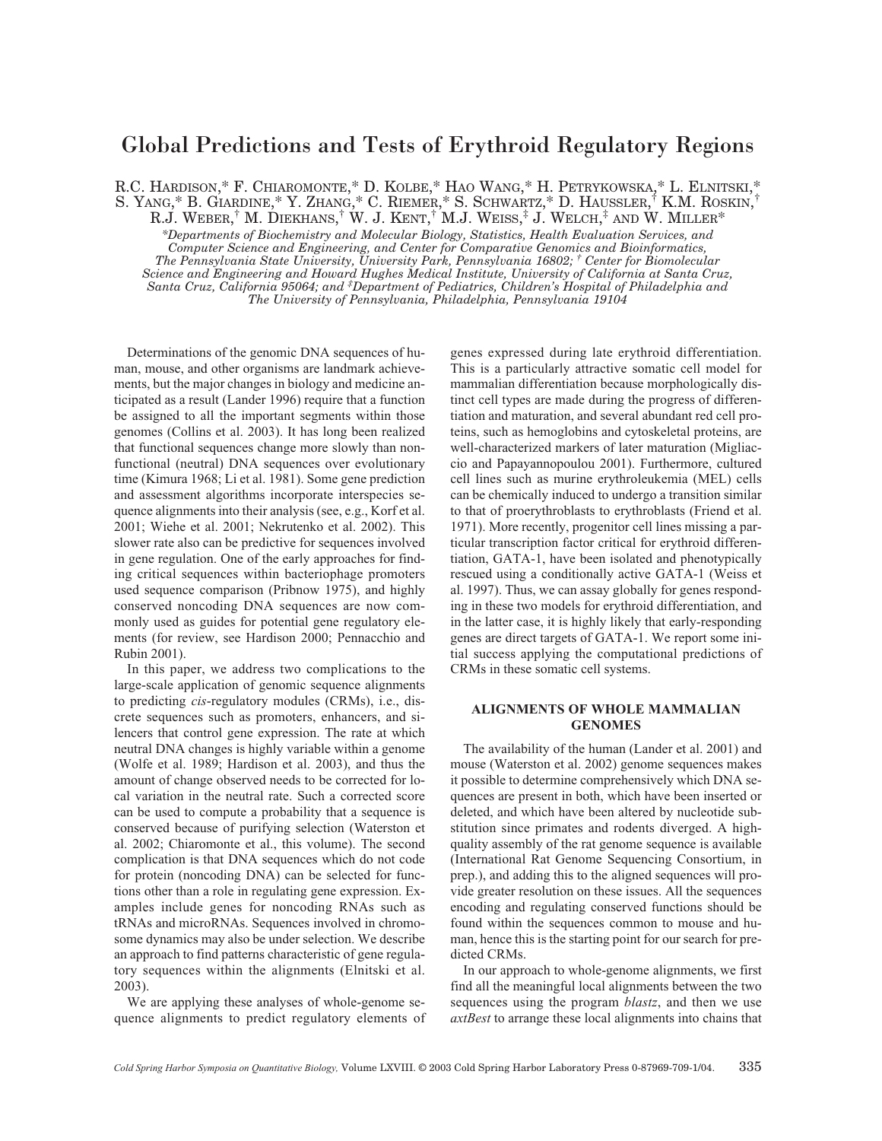# Global Predictions and Tests of Erythroid Regulatory Regions

R.C. HARDISON,\* F. CHIAROMONTE,\* D. KOLBE,\* HAO WANG,\* H. PETRYKOWSKA,\* L. ELNITSKI,\*

S. YANG,\* B. GIARDINE,\* Y. ZHANG,\* C. RIEMER,\* S. SCHWARTZ,\* D. HAUSSLER,<sup>†</sup> K.M. ROSKIN,<sup>†</sup>

R.J. WEBER,<sup>†</sup> M. DIEKHANS,<sup>†</sup> W. J. KENT,<sup>†</sup> M.J. WEISS,<sup>‡</sup> J. WELCH,<sup>‡</sup> AND W. MILLER\*

*\*Departments of Biochemistry and Molecular Biology, Statistics, Health Evaluation Services, and*

*Computer Science and Engineering, and Center for Comparative Genomics and Bioinformatics,*

*The Pennsylvania State University, University Park, Pennsylvania 16802; † Center for Biomolecular Science and Engineering and Howard Hughes Medical Institute, University of California at Santa Cruz, Santa Cruz, California 95064; and ‡ Department of Pediatrics, Children's Hospital of Philadelphia and*

*The University of Pennsylvania, Philadelphia, Pennsylvania 19104*

Determinations of the genomic DNA sequences of human, mouse, and other organisms are landmark achievements, but the major changes in biology and medicine anticipated as a result (Lander 1996) require that a function be assigned to all the important segments within those genomes (Collins et al. 2003). It has long been realized that functional sequences change more slowly than nonfunctional (neutral) DNA sequences over evolutionary time (Kimura 1968; Li et al. 1981). Some gene prediction and assessment algorithms incorporate interspecies sequence alignments into their analysis (see, e.g., Korf et al. 2001; Wiehe et al. 2001; Nekrutenko et al. 2002). This slower rate also can be predictive for sequences involved in gene regulation. One of the early approaches for finding critical sequences within bacteriophage promoters used sequence comparison (Pribnow 1975), and highly conserved noncoding DNA sequences are now commonly used as guides for potential gene regulatory elements (for review, see Hardison 2000; Pennacchio and Rubin 2001).

In this paper, we address two complications to the large-scale application of genomic sequence alignments to predicting *cis*-regulatory modules (CRMs), i.e., discrete sequences such as promoters, enhancers, and silencers that control gene expression. The rate at which neutral DNA changes is highly variable within a genome (Wolfe et al. 1989; Hardison et al. 2003), and thus the amount of change observed needs to be corrected for local variation in the neutral rate. Such a corrected score can be used to compute a probability that a sequence is conserved because of purifying selection (Waterston et al. 2002; Chiaromonte et al., this volume). The second complication is that DNA sequences which do not code for protein (noncoding DNA) can be selected for functions other than a role in regulating gene expression. Examples include genes for noncoding RNAs such as tRNAs and microRNAs. Sequences involved in chromosome dynamics may also be under selection. We describe an approach to find patterns characteristic of gene regulatory sequences within the alignments (Elnitski et al. 2003).

We are applying these analyses of whole-genome sequence alignments to predict regulatory elements of genes expressed during late erythroid differentiation. This is a particularly attractive somatic cell model for mammalian differentiation because morphologically distinct cell types are made during the progress of differentiation and maturation, and several abundant red cell proteins, such as hemoglobins and cytoskeletal proteins, are well-characterized markers of later maturation (Migliaccio and Papayannopoulou 2001). Furthermore, cultured cell lines such as murine erythroleukemia (MEL) cells can be chemically induced to undergo a transition similar to that of proerythroblasts to erythroblasts (Friend et al. 1971). More recently, progenitor cell lines missing a particular transcription factor critical for erythroid differentiation, GATA-1, have been isolated and phenotypically rescued using a conditionally active GATA-1 (Weiss et al. 1997). Thus, we can assay globally for genes responding in these two models for erythroid differentiation, and in the latter case, it is highly likely that early-responding genes are direct targets of GATA-1. We report some initial success applying the computational predictions of CRMs in these somatic cell systems.

## **ALIGNMENTS OF WHOLE MAMMALIAN GENOMES**

The availability of the human (Lander et al. 2001) and mouse (Waterston et al. 2002) genome sequences makes it possible to determine comprehensively which DNA sequences are present in both, which have been inserted or deleted, and which have been altered by nucleotide substitution since primates and rodents diverged. A highquality assembly of the rat genome sequence is available (International Rat Genome Sequencing Consortium, in prep.), and adding this to the aligned sequences will provide greater resolution on these issues. All the sequences encoding and regulating conserved functions should be found within the sequences common to mouse and human, hence this is the starting point for our search for predicted CRMs.

In our approach to whole-genome alignments, we first find all the meaningful local alignments between the two sequences using the program *blastz*, and then we use *axtBest* to arrange these local alignments into chains that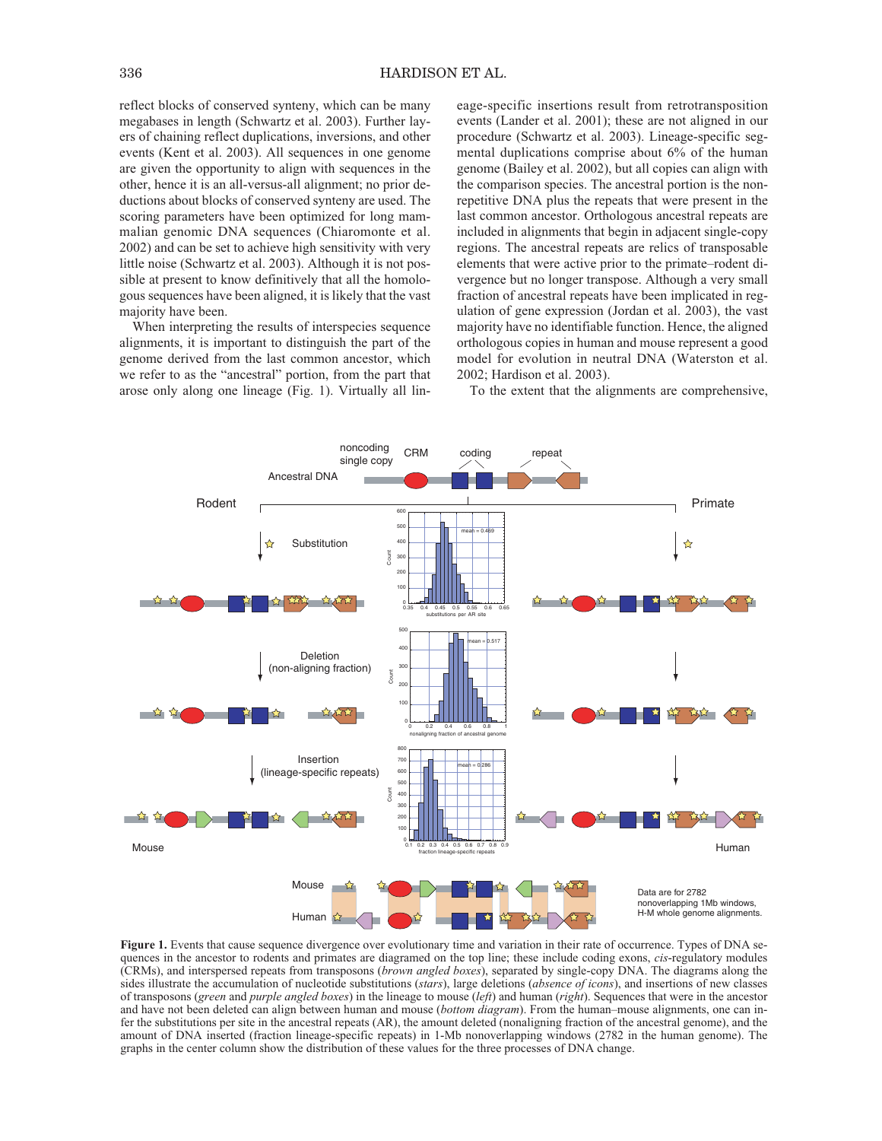reflect blocks of conserved synteny, which can be many megabases in length (Schwartz et al. 2003). Further layers of chaining reflect duplications, inversions, and other events (Kent et al. 2003). All sequences in one genome are given the opportunity to align with sequences in the other, hence it is an all-versus-all alignment; no prior deductions about blocks of conserved synteny are used. The scoring parameters have been optimized for long mammalian genomic DNA sequences (Chiaromonte et al. 2002) and can be set to achieve high sensitivity with very little noise (Schwartz et al. 2003). Although it is not possible at present to know definitively that all the homologous sequences have been aligned, it is likely that the vast majority have been.

When interpreting the results of interspecies sequence alignments, it is important to distinguish the part of the genome derived from the last common ancestor, which we refer to as the "ancestral" portion, from the part that arose only along one lineage (Fig. 1). Virtually all lin-

eage-specific insertions result from retrotransposition events (Lander et al. 2001); these are not aligned in our procedure (Schwartz et al. 2003). Lineage-specific segmental duplications comprise about 6% of the human genome (Bailey et al. 2002), but all copies can align with the comparison species. The ancestral portion is the nonrepetitive DNA plus the repeats that were present in the last common ancestor. Orthologous ancestral repeats are included in alignments that begin in adjacent single-copy regions. The ancestral repeats are relics of transposable elements that were active prior to the primate–rodent divergence but no longer transpose. Although a very small fraction of ancestral repeats have been implicated in regulation of gene expression (Jordan et al. 2003), the vast majority have no identifiable function. Hence, the aligned orthologous copies in human and mouse represent a good model for evolution in neutral DNA (Waterston et al. 2002; Hardison et al. 2003).

To the extent that the alignments are comprehensive,



**Figure 1.** Events that cause sequence divergence over evolutionary time and variation in their rate of occurrence. Types of DNA sequences in the ancestor to rodents and primates are diagramed on the top line; these include coding exons, *cis*-regulatory modules (CRMs), and interspersed repeats from transposons (*brown angled boxes*), separated by single-copy DNA. The diagrams along the sides illustrate the accumulation of nucleotide substitutions (*stars*), large deletions (*absence of icons*), and insertions of new classes of transposons (*green* and *purple angled boxes*) in the lineage to mouse (*left*) and human (*right*). Sequences that were in the ancestor and have not been deleted can align between human and mouse (*bottom diagram*). From the human–mouse alignments, one can infer the substitutions per site in the ancestral repeats (AR), the amount deleted (nonaligning fraction of the ancestral genome), and the amount of DNA inserted (fraction lineage-specific repeats) in 1-Mb nonoverlapping windows (2782 in the human genome). The graphs in the center column show the distribution of these values for the three processes of DNA change.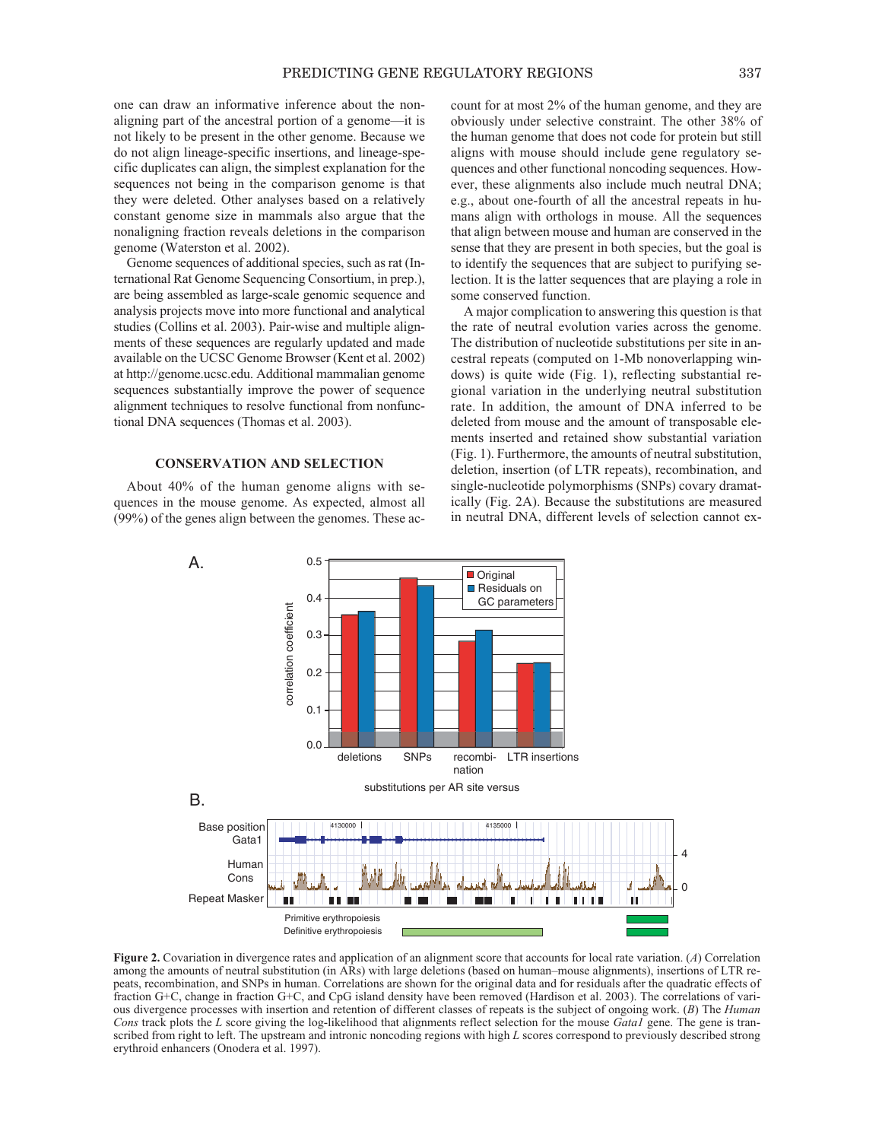one can draw an informative inference about the nonaligning part of the ancestral portion of a genome—it is not likely to be present in the other genome. Because we do not align lineage-specific insertions, and lineage-specific duplicates can align, the simplest explanation for the sequences not being in the comparison genome is that they were deleted. Other analyses based on a relatively constant genome size in mammals also argue that the nonaligning fraction reveals deletions in the comparison genome (Waterston et al. 2002).

Genome sequences of additional species, such as rat (International Rat Genome Sequencing Consortium, in prep.), are being assembled as large-scale genomic sequence and analysis projects move into more functional and analytical studies (Collins et al. 2003). Pair-wise and multiple alignments of these sequences are regularly updated and made available on the UCSC Genome Browser (Kent et al. 2002) at http://genome.ucsc.edu. Additional mammalian genome sequences substantially improve the power of sequence alignment techniques to resolve functional from nonfunctional DNA sequences (Thomas et al. 2003).

#### **CONSERVATION AND SELECTION**

About 40% of the human genome aligns with sequences in the mouse genome. As expected, almost all (99%) of the genes align between the genomes. These account for at most 2% of the human genome, and they are obviously under selective constraint. The other 38% of the human genome that does not code for protein but still aligns with mouse should include gene regulatory sequences and other functional noncoding sequences. However, these alignments also include much neutral DNA; e.g., about one-fourth of all the ancestral repeats in humans align with orthologs in mouse. All the sequences that align between mouse and human are conserved in the sense that they are present in both species, but the goal is to identify the sequences that are subject to purifying selection. It is the latter sequences that are playing a role in some conserved function.

A major complication to answering this question is that the rate of neutral evolution varies across the genome. The distribution of nucleotide substitutions per site in ancestral repeats (computed on 1-Mb nonoverlapping windows) is quite wide (Fig. 1), reflecting substantial regional variation in the underlying neutral substitution rate. In addition, the amount of DNA inferred to be deleted from mouse and the amount of transposable elements inserted and retained show substantial variation (Fig. 1). Furthermore, the amounts of neutral substitution, deletion, insertion (of LTR repeats), recombination, and single-nucleotide polymorphisms (SNPs) covary dramatically (Fig. 2A). Because the substitutions are measured in neutral DNA, different levels of selection cannot ex-



**Figure 2.** Covariation in divergence rates and application of an alignment score that accounts for local rate variation. (*A*) Correlation among the amounts of neutral substitution (in ARs) with large deletions (based on human–mouse alignments), insertions of LTR repeats, recombination, and SNPs in human. Correlations are shown for the original data and for residuals after the quadratic effects of fraction G+C, change in fraction G+C, and CpG island density have been removed (Hardison et al. 2003). The correlations of various divergence processes with insertion and retention of different classes of repeats is the subject of ongoing work. (*B*) The *Human Cons* track plots the *L* score giving the log-likelihood that alignments reflect selection for the mouse *Gata1* gene. The gene is transcribed from right to left. The upstream and intronic noncoding regions with high *L* scores correspond to previously described strong erythroid enhancers (Onodera et al. 1997).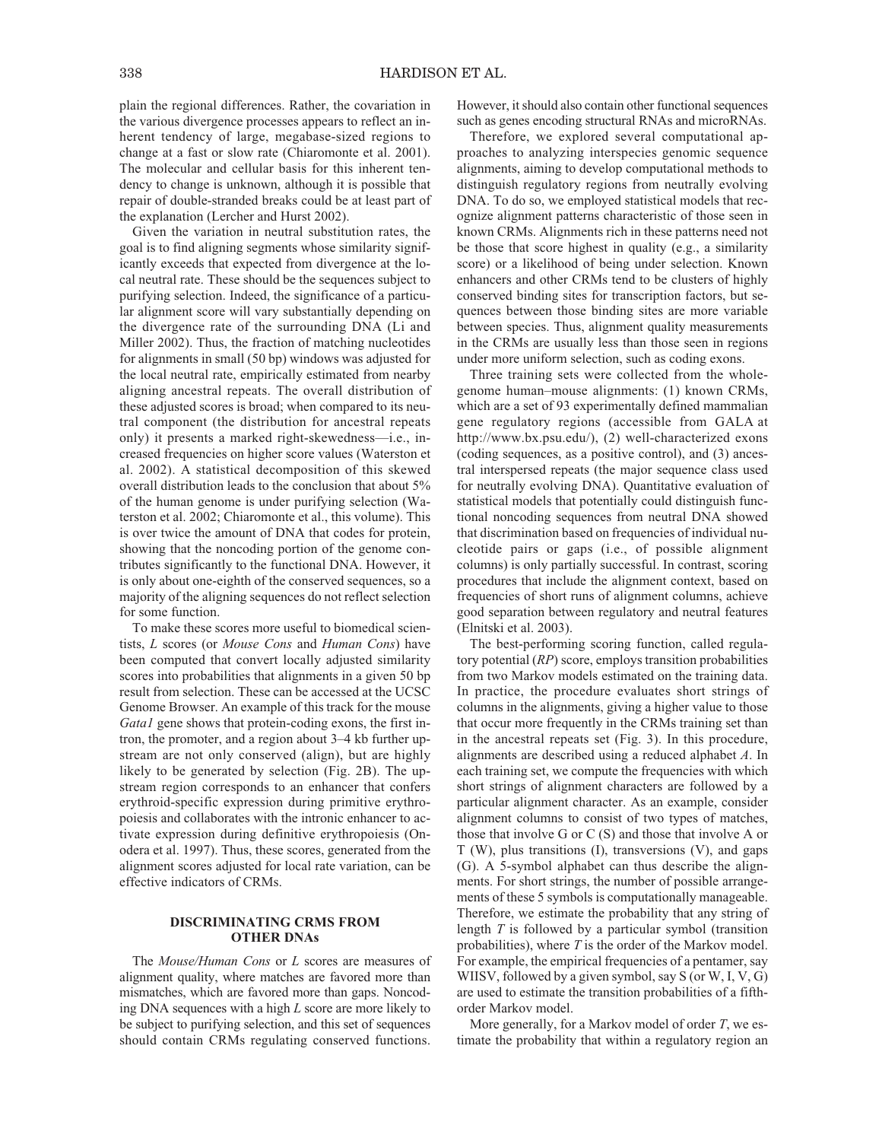plain the regional differences. Rather, the covariation in the various divergence processes appears to reflect an inherent tendency of large, megabase-sized regions to change at a fast or slow rate (Chiaromonte et al. 2001). The molecular and cellular basis for this inherent tendency to change is unknown, although it is possible that repair of double-stranded breaks could be at least part of the explanation (Lercher and Hurst 2002).

Given the variation in neutral substitution rates, the goal is to find aligning segments whose similarity significantly exceeds that expected from divergence at the local neutral rate. These should be the sequences subject to purifying selection. Indeed, the significance of a particular alignment score will vary substantially depending on the divergence rate of the surrounding DNA (Li and Miller 2002). Thus, the fraction of matching nucleotides for alignments in small (50 bp) windows was adjusted for the local neutral rate, empirically estimated from nearby aligning ancestral repeats. The overall distribution of these adjusted scores is broad; when compared to its neutral component (the distribution for ancestral repeats only) it presents a marked right-skewedness—i.e., increased frequencies on higher score values (Waterston et al. 2002). A statistical decomposition of this skewed overall distribution leads to the conclusion that about 5% of the human genome is under purifying selection (Waterston et al. 2002; Chiaromonte et al., this volume). This is over twice the amount of DNA that codes for protein, showing that the noncoding portion of the genome contributes significantly to the functional DNA. However, it is only about one-eighth of the conserved sequences, so a majority of the aligning sequences do not reflect selection for some function.

To make these scores more useful to biomedical scientists, *L* scores (or *Mouse Cons* and *Human Cons*) have been computed that convert locally adjusted similarity scores into probabilities that alignments in a given 50 bp result from selection. These can be accessed at the UCSC Genome Browser. An example of this track for the mouse *Gata1* gene shows that protein-coding exons, the first intron, the promoter, and a region about 3–4 kb further upstream are not only conserved (align), but are highly likely to be generated by selection (Fig. 2B). The upstream region corresponds to an enhancer that confers erythroid-specific expression during primitive erythropoiesis and collaborates with the intronic enhancer to activate expression during definitive erythropoiesis (Onodera et al. 1997). Thus, these scores, generated from the alignment scores adjusted for local rate variation, can be effective indicators of CRMs.

## **DISCRIMINATING CRMS FROM OTHER DNAs**

The *Mouse/Human Cons* or *L* scores are measures of alignment quality, where matches are favored more than mismatches, which are favored more than gaps. Noncoding DNA sequences with a high *L* score are more likely to be subject to purifying selection, and this set of sequences should contain CRMs regulating conserved functions. However, it should also contain other functional sequences such as genes encoding structural RNAs and microRNAs.

Therefore, we explored several computational approaches to analyzing interspecies genomic sequence alignments, aiming to develop computational methods to distinguish regulatory regions from neutrally evolving DNA. To do so, we employed statistical models that recognize alignment patterns characteristic of those seen in known CRMs. Alignments rich in these patterns need not be those that score highest in quality (e.g., a similarity score) or a likelihood of being under selection. Known enhancers and other CRMs tend to be clusters of highly conserved binding sites for transcription factors, but sequences between those binding sites are more variable between species. Thus, alignment quality measurements in the CRMs are usually less than those seen in regions under more uniform selection, such as coding exons.

Three training sets were collected from the wholegenome human–mouse alignments: (1) known CRMs, which are a set of 93 experimentally defined mammalian gene regulatory regions (accessible from GALA at http://www.bx.psu.edu/), (2) well-characterized exons (coding sequences, as a positive control), and (3) ancestral interspersed repeats (the major sequence class used for neutrally evolving DNA). Quantitative evaluation of statistical models that potentially could distinguish functional noncoding sequences from neutral DNA showed that discrimination based on frequencies of individual nucleotide pairs or gaps (i.e., of possible alignment columns) is only partially successful. In contrast, scoring procedures that include the alignment context, based on frequencies of short runs of alignment columns, achieve good separation between regulatory and neutral features (Elnitski et al. 2003).

The best-performing scoring function, called regulatory potential (*RP*) score, employs transition probabilities from two Markov models estimated on the training data. In practice, the procedure evaluates short strings of columns in the alignments, giving a higher value to those that occur more frequently in the CRMs training set than in the ancestral repeats set (Fig. 3). In this procedure, alignments are described using a reduced alphabet *A*. In each training set, we compute the frequencies with which short strings of alignment characters are followed by a particular alignment character. As an example, consider alignment columns to consist of two types of matches, those that involve G or C (S) and those that involve A or T (W), plus transitions (I), transversions (V), and gaps (G). A 5-symbol alphabet can thus describe the alignments. For short strings, the number of possible arrangements of these 5 symbols is computationally manageable. Therefore, we estimate the probability that any string of length *T* is followed by a particular symbol (transition probabilities), where *T* is the order of the Markov model. For example, the empirical frequencies of a pentamer, say WIISV, followed by a given symbol, say S (or W, I, V, G) are used to estimate the transition probabilities of a fifthorder Markov model.

More generally, for a Markov model of order *T*, we estimate the probability that within a regulatory region an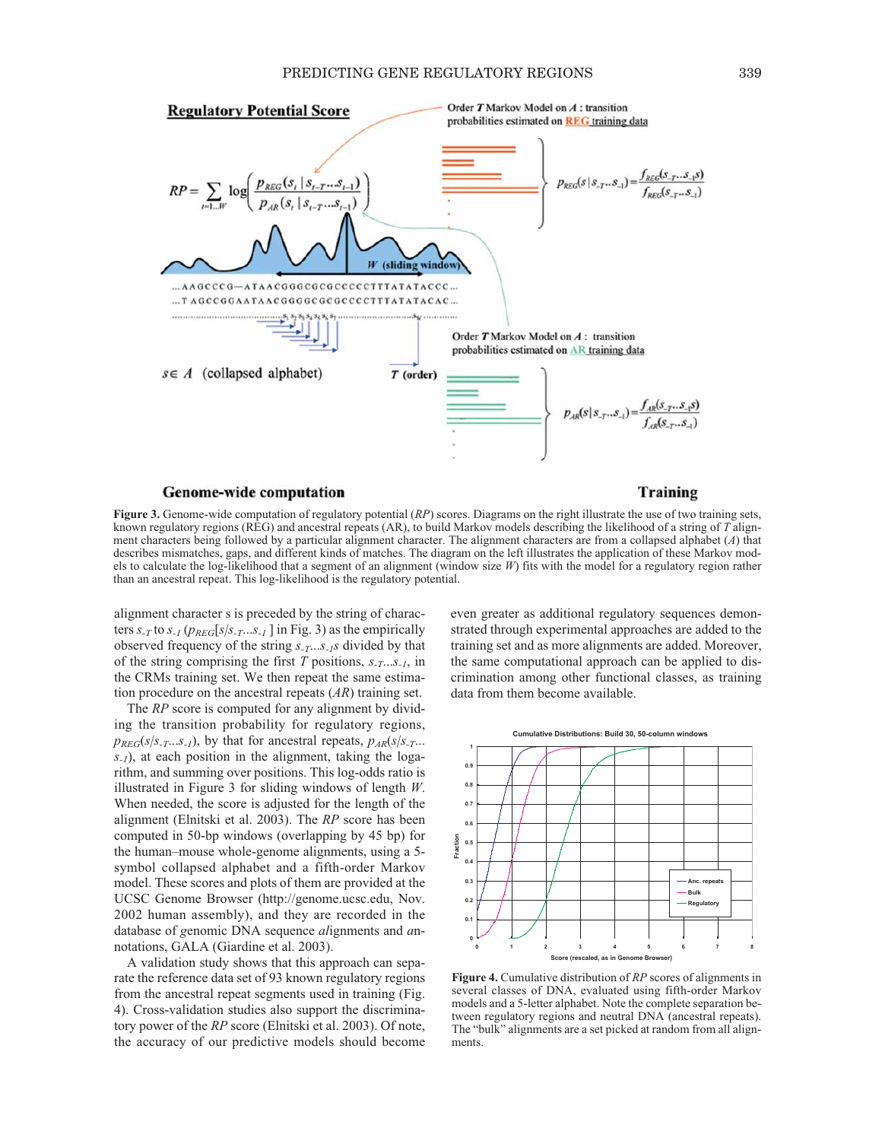

## **Genome-wide computation**

## **Training**

**Figure 3.** Genome-wide computation of regulatory potential (*RP*) scores. Diagrams on the right illustrate the use of two training sets, known regulatory regions (REG) and ancestral repeats (AR), to build Markov models describing the likelihood of a string of *T* alignment characters being followed by a particular alignment character. The alignment characters are from a collapsed alphabet (*A*) that describes mismatches, gaps, and different kinds of matches. The diagram on the left illustrates the application of these Markov models to calculate the log-likelihood that a segment of an alignment (window size *W*) fits with the model for a regulatory region rather than an ancestral repeat. This log-likelihood is the regulatory potential.

alignment character s is preceded by the string of characters  $s_{\text{-}T}$  to  $s_{\text{-}I}$  ( $p_{\text{REG}}[s/s_{\text{-}T}...s_{\text{-}I}]$  in Fig. 3) as the empirically observed frequency of the string *s-T*...*s-1s* divided by that of the string comprising the first *T* positions,  $s_{\tau}$ ... $s_{\tau}$ , in the CRMs training set. We then repeat the same estimation procedure on the ancestral repeats (*AR*) training set.

The *RP* score is computed for any alignment by dividing the transition probability for regulatory regions,  $p_{REG}(s|s_{-T}...s_{-I})$ , by that for ancestral repeats,  $p_{AR}(s|s_{-T}...s_{-I})$ *s-1*), at each position in the alignment, taking the logarithm, and summing over positions. This log-odds ratio is illustrated in Figure 3 for sliding windows of length *W*. When needed, the score is adjusted for the length of the alignment (Elnitski et al. 2003). The *RP* score has been computed in 50-bp windows (overlapping by 45 bp) for the human–mouse whole-genome alignments, using a 5 symbol collapsed alphabet and a fifth-order Markov model. These scores and plots of them are provided at the UCSC Genome Browser (http://genome.ucsc.edu, Nov. 2002 human assembly), and they are recorded in the database of *g*enomic DNA sequence *al*ignments and *a*nnotations, GALA (Giardine et al. 2003).

A validation study shows that this approach can separate the reference data set of 93 known regulatory regions from the ancestral repeat segments used in training (Fig. 4). Cross-validation studies also support the discriminatory power of the *RP* score (Elnitski et al. 2003). Of note, the accuracy of our predictive models should become even greater as additional regulatory sequences demonstrated through experimental approaches are added to the training set and as more alignments are added. Moreover, the same computational approach can be applied to discrimination among other functional classes, as training data from them become available.



**Figure 4.** Cumulative distribution of *RP* scores of alignments in several classes of DNA, evaluated using fifth-order Markov models and a 5-letter alphabet. Note the complete separation between regulatory regions and neutral DNA (ancestral repeats). The "bulk" alignments are a set picked at random from all alignments.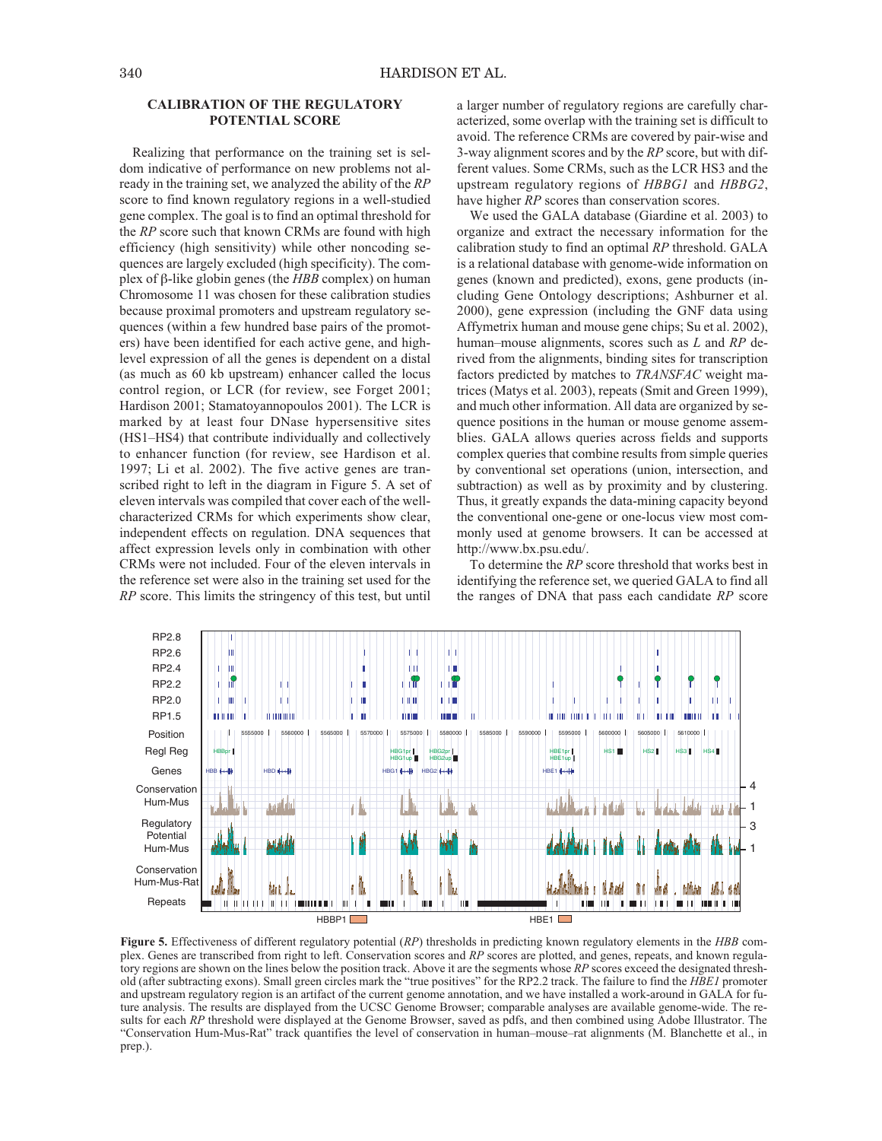## **CALIBRATION OF THE REGULATORY POTENTIAL SCORE**

Realizing that performance on the training set is seldom indicative of performance on new problems not already in the training set, we analyzed the ability of the *RP* score to find known regulatory regions in a well-studied gene complex. The goal is to find an optimal threshold for the *RP* score such that known CRMs are found with high efficiency (high sensitivity) while other noncoding sequences are largely excluded (high specificity). The complex of β-like globin genes (the *HBB* complex) on human Chromosome 11 was chosen for these calibration studies because proximal promoters and upstream regulatory sequences (within a few hundred base pairs of the promoters) have been identified for each active gene, and highlevel expression of all the genes is dependent on a distal (as much as 60 kb upstream) enhancer called the locus control region, or LCR (for review, see Forget 2001; Hardison 2001; Stamatoyannopoulos 2001). The LCR is marked by at least four DNase hypersensitive sites (HS1–HS4) that contribute individually and collectively to enhancer function (for review, see Hardison et al. 1997; Li et al. 2002). The five active genes are transcribed right to left in the diagram in Figure 5. A set of eleven intervals was compiled that cover each of the wellcharacterized CRMs for which experiments show clear, independent effects on regulation. DNA sequences that affect expression levels only in combination with other CRMs were not included. Four of the eleven intervals in the reference set were also in the training set used for the *RP* score. This limits the stringency of this test, but until a larger number of regulatory regions are carefully characterized, some overlap with the training set is difficult to avoid. The reference CRMs are covered by pair-wise and 3-way alignment scores and by the *RP* score, but with different values. Some CRMs, such as the LCR HS3 and the upstream regulatory regions of *HBBG1* and *HBBG2*, have higher *RP* scores than conservation scores.

We used the GALA database (Giardine et al. 2003) to organize and extract the necessary information for the calibration study to find an optimal *RP* threshold. GALA is a relational database with genome-wide information on genes (known and predicted), exons, gene products (including Gene Ontology descriptions; Ashburner et al. 2000), gene expression (including the GNF data using Affymetrix human and mouse gene chips; Su et al. 2002), human–mouse alignments, scores such as *L* and *RP* derived from the alignments, binding sites for transcription factors predicted by matches to *TRANSFAC* weight matrices (Matys et al. 2003), repeats (Smit and Green 1999), and much other information. All data are organized by sequence positions in the human or mouse genome assemblies. GALA allows queries across fields and supports complex queries that combine results from simple queries by conventional set operations (union, intersection, and subtraction) as well as by proximity and by clustering. Thus, it greatly expands the data-mining capacity beyond the conventional one-gene or one-locus view most commonly used at genome browsers. It can be accessed at http://www.bx.psu.edu/.

To determine the *RP* score threshold that works best in identifying the reference set, we queried GALA to find all the ranges of DNA that pass each candidate *RP* score



**Figure 5.** Effectiveness of different regulatory potential (*RP*) thresholds in predicting known regulatory elements in the *HBB* complex. Genes are transcribed from right to left. Conservation scores and *RP* scores are plotted, and genes, repeats, and known regulatory regions are shown on the lines below the position track. Above it are the segments whose *RP* scores exceed the designated threshold (after subtracting exons). Small green circles mark the "true positives" for the RP2.2 track. The failure to find the *HBE1* promoter and upstream regulatory region is an artifact of the current genome annotation, and we have installed a work-around in GALA for future analysis. The results are displayed from the UCSC Genome Browser; comparable analyses are available genome-wide. The results for each *RP* threshold were displayed at the Genome Browser, saved as pdfs, and then combined using Adobe Illustrator. The "Conservation Hum-Mus-Rat" track quantifies the level of conservation in human–mouse–rat alignments (M. Blanchette et al., in prep.).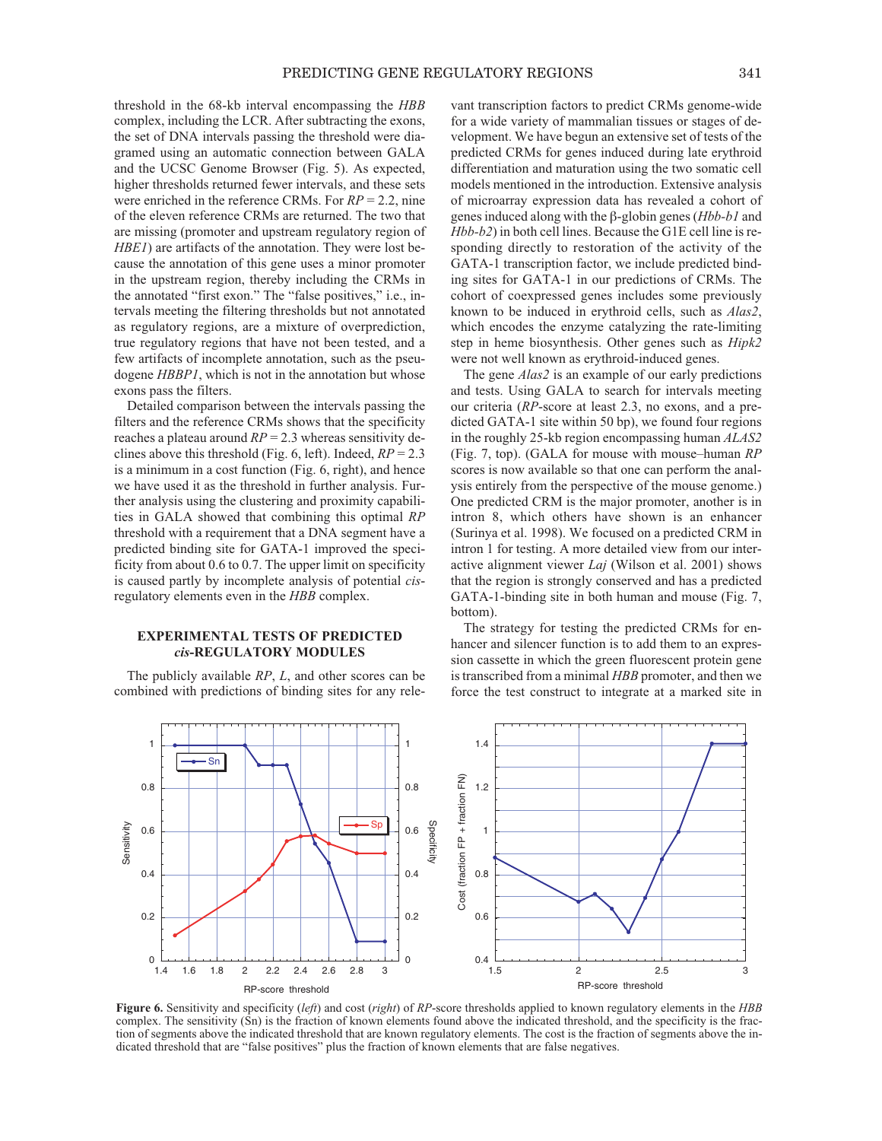threshold in the 68-kb interval encompassing the *HBB* complex, including the LCR. After subtracting the exons, the set of DNA intervals passing the threshold were diagramed using an automatic connection between GALA and the UCSC Genome Browser (Fig. 5). As expected, higher thresholds returned fewer intervals, and these sets were enriched in the reference CRMs. For *RP* = 2.2, nine of the eleven reference CRMs are returned. The two that are missing (promoter and upstream regulatory region of *HBE1*) are artifacts of the annotation. They were lost because the annotation of this gene uses a minor promoter in the upstream region, thereby including the CRMs in the annotated "first exon." The "false positives," i.e., intervals meeting the filtering thresholds but not annotated as regulatory regions, are a mixture of overprediction, true regulatory regions that have not been tested, and a few artifacts of incomplete annotation, such as the pseudogene *HBBP1*, which is not in the annotation but whose exons pass the filters.

Detailed comparison between the intervals passing the filters and the reference CRMs shows that the specificity reaches a plateau around *RP* = 2.3 whereas sensitivity declines above this threshold (Fig. 6, left). Indeed, *RP* = 2.3 is a minimum in a cost function (Fig. 6, right), and hence we have used it as the threshold in further analysis. Further analysis using the clustering and proximity capabilities in GALA showed that combining this optimal *RP* threshold with a requirement that a DNA segment have a predicted binding site for GATA-1 improved the specificity from about 0.6 to 0.7. The upper limit on specificity is caused partly by incomplete analysis of potential *cis*regulatory elements even in the *HBB* complex.

## **EXPERIMENTAL TESTS OF PREDICTED** *cis***-REGULATORY MODULES**

The publicly available *RP*, *L*, and other scores can be combined with predictions of binding sites for any relevant transcription factors to predict CRMs genome-wide for a wide variety of mammalian tissues or stages of development. We have begun an extensive set of tests of the predicted CRMs for genes induced during late erythroid differentiation and maturation using the two somatic cell models mentioned in the introduction. Extensive analysis of microarray expression data has revealed a cohort of genes induced along with the β-globin genes (*Hbb-b1* and *Hbb-b2*) in both cell lines. Because the G1E cell line is responding directly to restoration of the activity of the GATA-1 transcription factor, we include predicted binding sites for GATA-1 in our predictions of CRMs. The cohort of coexpressed genes includes some previously known to be induced in erythroid cells, such as *Alas2*, which encodes the enzyme catalyzing the rate-limiting step in heme biosynthesis. Other genes such as *Hipk2* were not well known as erythroid-induced genes.

The gene *Alas2* is an example of our early predictions and tests. Using GALA to search for intervals meeting our criteria (*RP*-score at least 2.3, no exons, and a predicted GATA-1 site within 50 bp), we found four regions in the roughly 25-kb region encompassing human *ALAS2* (Fig. 7, top). (GALA for mouse with mouse–human *RP* scores is now available so that one can perform the analysis entirely from the perspective of the mouse genome.) One predicted CRM is the major promoter, another is in intron 8, which others have shown is an enhancer (Surinya et al. 1998). We focused on a predicted CRM in intron 1 for testing. A more detailed view from our interactive alignment viewer *Laj* (Wilson et al. 2001) shows that the region is strongly conserved and has a predicted GATA-1-binding site in both human and mouse (Fig. 7, bottom).

The strategy for testing the predicted CRMs for enhancer and silencer function is to add them to an expression cassette in which the green fluorescent protein gene is transcribed from a minimal *HBB* promoter, and then we force the test construct to integrate at a marked site in



**Figure 6.** Sensitivity and specificity (*left*) and cost (*right*) of *RP*-score thresholds applied to known regulatory elements in the *HBB* complex. The sensitivity (Sn) is the fraction of known elements found above the indicated threshold, and the specificity is the fraction of segments above the indicated threshold that are known regulatory elements. The cost is the fraction of segments above the indicated threshold that are "false positives" plus the fraction of known elements that are false negatives.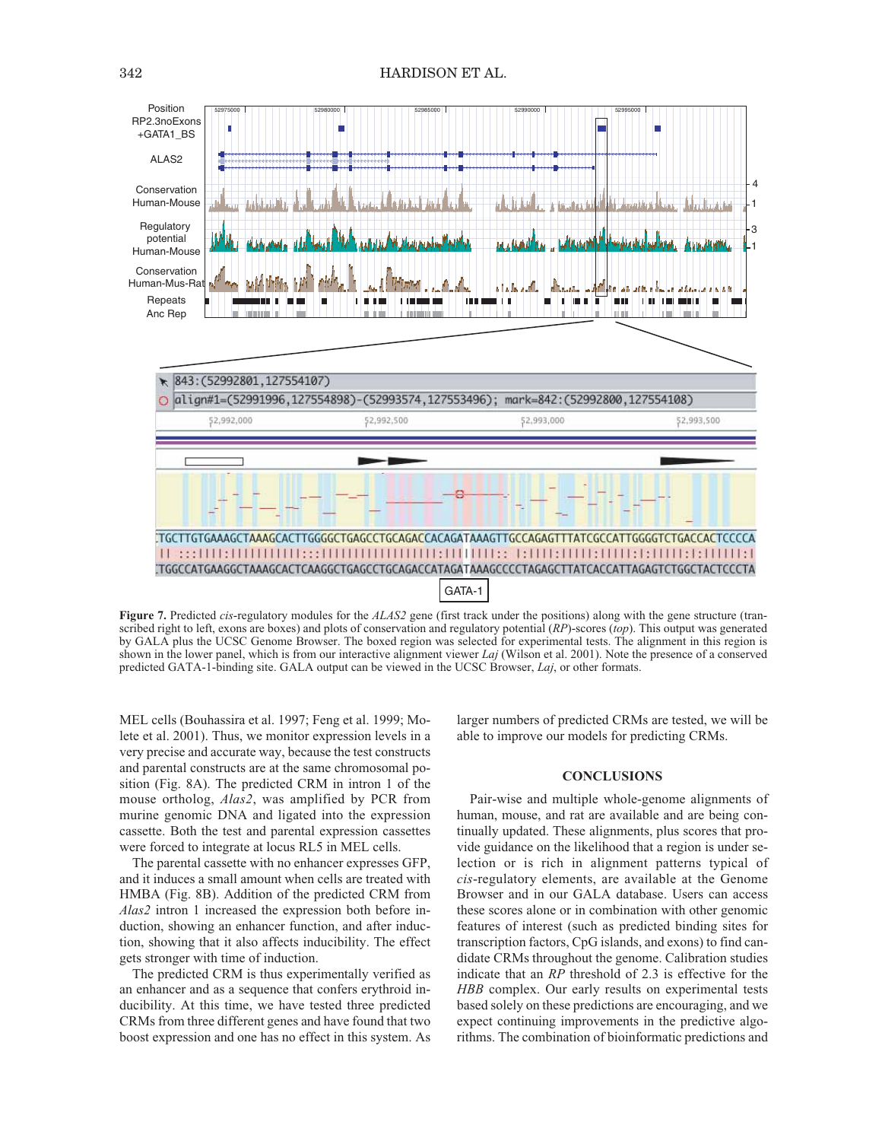

**Figure 7.** Predicted *cis*-regulatory modules for the *ALAS2* gene (first track under the positions) along with the gene structure (transcribed right to left, exons are boxes) and plots of conservation and regulatory potential (*RP*)-scores (*top*). This output was generated by GALA plus the UCSC Genome Browser. The boxed region was selected for experimental tests. The alignment in this region is shown in the lower panel, which is from our interactive alignment viewer *Laj* (Wilson et al. 2001). Note the presence of a conserved predicted GATA-1-binding site. GALA output can be viewed in the UCSC Browser, *Laj*, or other formats.

MEL cells (Bouhassira et al. 1997; Feng et al. 1999; Molete et al. 2001). Thus, we monitor expression levels in a very precise and accurate way, because the test constructs and parental constructs are at the same chromosomal position (Fig. 8A). The predicted CRM in intron 1 of the mouse ortholog, *Alas2*, was amplified by PCR from murine genomic DNA and ligated into the expression cassette. Both the test and parental expression cassettes were forced to integrate at locus RL5 in MEL cells.

The parental cassette with no enhancer expresses GFP, and it induces a small amount when cells are treated with HMBA (Fig. 8B). Addition of the predicted CRM from *Alas2* intron 1 increased the expression both before induction, showing an enhancer function, and after induction, showing that it also affects inducibility. The effect gets stronger with time of induction.

The predicted CRM is thus experimentally verified as an enhancer and as a sequence that confers erythroid inducibility. At this time, we have tested three predicted CRMs from three different genes and have found that two boost expression and one has no effect in this system. As

larger numbers of predicted CRMs are tested, we will be able to improve our models for predicting CRMs.

## **CONCLUSIONS**

Pair-wise and multiple whole-genome alignments of human, mouse, and rat are available and are being continually updated. These alignments, plus scores that provide guidance on the likelihood that a region is under selection or is rich in alignment patterns typical of *cis*-regulatory elements, are available at the Genome Browser and in our GALA database. Users can access these scores alone or in combination with other genomic features of interest (such as predicted binding sites for transcription factors, CpG islands, and exons) to find candidate CRMs throughout the genome. Calibration studies indicate that an *RP* threshold of 2.3 is effective for the *HBB* complex. Our early results on experimental tests based solely on these predictions are encouraging, and we expect continuing improvements in the predictive algorithms. The combination of bioinformatic predictions and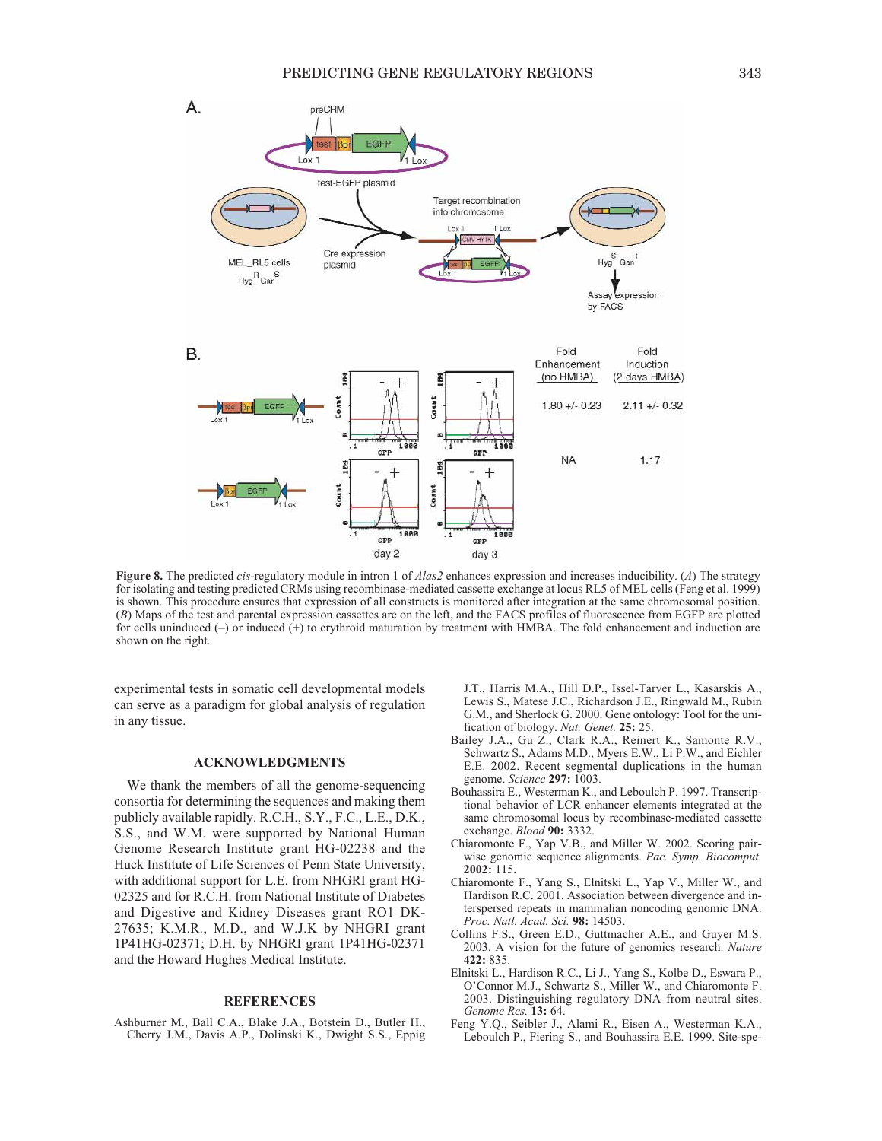

**Figure 8.** The predicted *cis*-regulatory module in intron 1 of *Alas2* enhances expression and increases inducibility. (*A*) The strategy for isolating and testing predicted CRMs using recombinase-mediated cassette exchange at locus RL5 of MEL cells (Feng et al. 1999) is shown. This procedure ensures that expression of all constructs is monitored after integration at the same chromosomal position. (*B*) Maps of the test and parental expression cassettes are on the left, and the FACS profiles of fluorescence from EGFP are plotted for cells uninduced (–) or induced (+) to erythroid maturation by treatment with HMBA. The fold enhancement and induction are shown on the right.

experimental tests in somatic cell developmental models can serve as a paradigm for global analysis of regulation in any tissue.

### **ACKNOWLEDGMENTS**

We thank the members of all the genome-sequencing consortia for determining the sequences and making them publicly available rapidly. R.C.H., S.Y., F.C., L.E., D.K., S.S., and W.M. were supported by National Human Genome Research Institute grant HG-02238 and the Huck Institute of Life Sciences of Penn State University, with additional support for L.E. from NHGRI grant HG-02325 and for R.C.H. from National Institute of Diabetes and Digestive and Kidney Diseases grant RO1 DK-27635; K.M.R., M.D., and W.J.K by NHGRI grant 1P41HG-02371; D.H. by NHGRI grant 1P41HG-02371 and the Howard Hughes Medical Institute.

#### **REFERENCES**

Ashburner M., Ball C.A., Blake J.A., Botstein D., Butler H., Cherry J.M., Davis A.P., Dolinski K., Dwight S.S., Eppig J.T., Harris M.A., Hill D.P., Issel-Tarver L., Kasarskis A., Lewis S., Matese J.C., Richardson J.E., Ringwald M., Rubin G.M., and Sherlock G. 2000. Gene ontology: Tool for the unification of biology. *Nat. Genet.* **25:** 25.

- Bailey J.A., Gu Z., Clark R.A., Reinert K., Samonte R.V., Schwartz S., Adams M.D., Myers E.W., Li P.W., and Eichler E.E. 2002. Recent segmental duplications in the human genome. *Science* **297:** 1003.
- Bouhassira E., Westerman K., and Leboulch P. 1997. Transcriptional behavior of LCR enhancer elements integrated at the same chromosomal locus by recombinase-mediated cassette exchange. *Blood* **90:** 3332.
- Chiaromonte F., Yap V.B., and Miller W. 2002. Scoring pairwise genomic sequence alignments. *Pac. Symp. Biocomput.* **2002:** 115.
- Chiaromonte F., Yang S., Elnitski L., Yap V., Miller W., and Hardison R.C. 2001. Association between divergence and interspersed repeats in mammalian noncoding genomic DNA. *Proc. Natl. Acad. Sci.* **98:** 14503.
- Collins F.S., Green E.D., Guttmacher A.E., and Guyer M.S. 2003. A vision for the future of genomics research. *Nature* **422:** 835.
- Elnitski L., Hardison R.C., Li J., Yang S., Kolbe D., Eswara P., O'Connor M.J., Schwartz S., Miller W., and Chiaromonte F. 2003. Distinguishing regulatory DNA from neutral sites. *Genome Res.* **13:** 64.
- Feng Y.Q., Seibler J., Alami R., Eisen A., Westerman K.A., Leboulch P., Fiering S., and Bouhassira E.E. 1999. Site-spe-